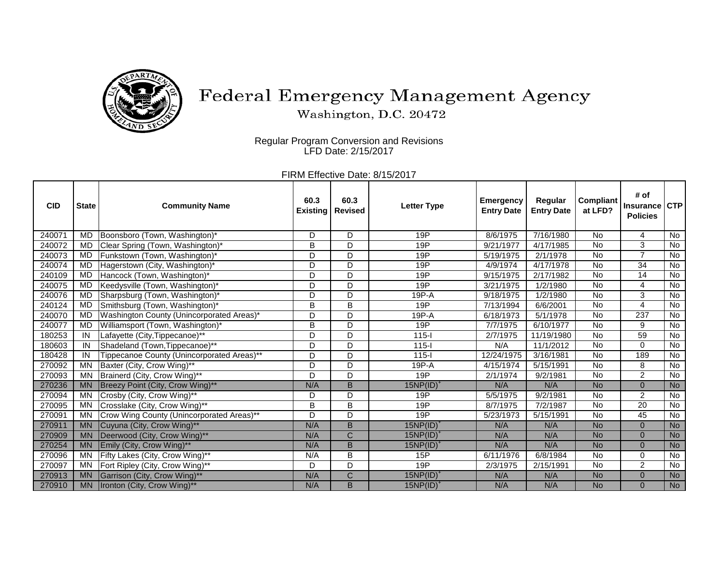

## Federal Emergency Management Agency

Washington, D.C. 20472

Regular Program Conversion and Revisions LFD Date: 2/15/2017

> FIRM Effective Date: 8/15/2017

| <b>CID</b> | <b>State</b> | <b>Community Name</b>                      | 60.3<br><b>Existing</b> | 60.3<br><b>Revised</b> | <b>Letter Type</b> | <b>Emergency</b><br><b>Entry Date</b> | Regular<br><b>Entry Date</b> | <b>Compliant</b><br>at LFD? | # of<br><b>Insurance</b><br><b>Policies</b> | <b>CTP</b> |
|------------|--------------|--------------------------------------------|-------------------------|------------------------|--------------------|---------------------------------------|------------------------------|-----------------------------|---------------------------------------------|------------|
| 240071     | MD.          | Boonsboro (Town, Washington)*              | D                       | D                      | 19P                | 8/6/1975                              | $\frac{1}{7}$ 16/1980        | No                          | 4                                           | No         |
| 240072     | MD.          | Clear Spring (Town, Washington)*           | B                       | D                      | 19P                | 9/21/1977                             | 4/17/1985                    | <b>No</b>                   | 3                                           | No         |
| 240073     | MD           | Funkstown (Town, Washington)*              | D                       | D                      | 19P                | 5/19/1975                             | 2/1/1978                     | No                          | 7                                           | No         |
| 240074     | <b>MD</b>    | Hagerstown (City, Washington)*             | D                       | D                      | 19P                | 4/9/1974                              | $\frac{1}{4}$ 17/1978        | No                          | 34                                          | No         |
| 240109     | MD           | Hancock (Town, Washington)*                | D                       | D                      | 19P                | 9/15/1975                             | 2/17/1982                    | <b>No</b>                   | 14                                          | No         |
| 240075     | <b>MD</b>    | Keedysville (Town, Washington)*            | D                       | D                      | 19P                | 3/21/1975                             | 1/2/1980                     | <b>No</b>                   | $\overline{4}$                              | No         |
| 240076     | <b>MD</b>    | Sharpsburg (Town, Washington)*             | D                       | D                      | $19P-A$            | 9/18/1975                             | 1/2/1980                     | <b>No</b>                   | 3                                           | No         |
| 240124     | <b>MD</b>    | Smithsburg (Town, Washington)*             | B                       | B                      | 19P                | 7/13/1994                             | 6/6/2001                     | <b>No</b>                   | $\overline{4}$                              | No         |
| 240070     | <b>MD</b>    | Washington County (Unincorporated Areas)*  | D                       | D                      | $19P-A$            | 6/18/1973                             | 5/1/1978                     | <b>No</b>                   | 237                                         | <b>No</b>  |
| 240077     | <b>MD</b>    | Williamsport (Town, Washington)*           | B                       | D                      | 19P                | 7/7/1975                              | 6/10/1977                    | <b>No</b>                   | 9                                           | No         |
| 180253     | IN           | Lafayette (City, Tippecanoe)**             | D                       | D                      | $115 -$            | 2/7/1975                              | 11/19/1980                   | <b>No</b>                   | 59                                          | No         |
| 180603     | IN           | Shadeland (Town, Tippecanoe)**             | D                       | D                      | $115 -$            | N/A                                   | 11/1/2012                    | <b>No</b>                   | $\Omega$                                    | No         |
| 180428     | IN           | Tippecanoe County (Unincorporated Areas)** | D                       | D                      | $115 -$            | 12/24/1975                            | 3/16/1981                    | <b>No</b>                   | 189                                         | No         |
| 270092     | MN           | Baxter (City, Crow Wing)**                 | D                       | D                      | $19P-A$            | 4/15/1974                             | 5/15/1991                    | No                          | 8                                           | No         |
| 270093     | MN           | Brainerd (City, Crow Wing)**               | D                       | D                      | 19P                | 2/1/1974                              | 9/2/1981                     | <b>No</b>                   | $\overline{2}$                              | No         |
| 270236     | <b>MN</b>    | Breezy Point (City, Crow Wing)**           | N/A                     | B                      | $15NP(ID)^*$       | N/A                                   | N/A                          | <b>No</b>                   | $\Omega$                                    | <b>No</b>  |
| 270094     | MN           | Crosby (City, Crow Wing)**                 | D                       | D                      | 19P                | 5/5/1975                              | 9/2/1981                     | <b>No</b>                   | $\overline{2}$                              | No         |
| 270095     | MN           | Crosslake (City, Crow Wing)**              | B                       | B                      | 19P                | 8/7/1975                              | 7/2/1987                     | <b>No</b>                   | 20                                          | No         |
| 270091     | MN           | Crow Wing County (Unincorporated Areas)**  | D                       | D                      | 19P                | 5/23/1973                             | 5/15/1991                    | No                          | 45                                          | No         |
| 270911     | <b>MN</b>    | Cuyuna (City, Crow Wing)**                 | N/A                     | B                      | $15NP(ID)^+$       | N/A                                   | N/A                          | <b>No</b>                   | $\Omega$                                    | <b>No</b>  |
| 270909     | <b>MN</b>    | Deerwood (City, Crow Wing)**               | N/A                     | $\mathsf{C}$           | $15NP(ID)^+$       | N/A                                   | N/A                          | <b>No</b>                   | $\Omega$                                    | <b>No</b>  |
| 270254     | <b>MN</b>    | Emily (City, Crow Wing)**                  | N/A                     | B                      | $15NP(ID)^*$       | N/A                                   | N/A                          | <b>No</b>                   | $\Omega$                                    | <b>No</b>  |
| 270096     | <b>MN</b>    | Fifty Lakes (City, Crow Wing)**            | N/A                     | B                      | 15P                | 6/11/1976                             | 6/8/1984                     | <b>No</b>                   | 0                                           | No         |
| 270097     | <b>MN</b>    | Fort Ripley (City, Crow Wing)**            | D                       | $\overline{D}$         | 19P                | 2/3/1975                              | 2/15/1991                    | <b>No</b>                   | $\overline{2}$                              | No         |
| 270913     | <b>MN</b>    | Garrison (City, Crow Wing)**               | N/A                     | $\mathsf{C}$           | $15NP(ID)^*$       | N/A                                   | N/A                          | <b>No</b>                   | $\Omega$                                    | <b>No</b>  |
| 270910     | <b>MN</b>    | Ironton (City, Crow Wing)**                | N/A                     | $\overline{B}$         | $15NP(ID)^*$       | N/A                                   | N/A                          | <b>No</b>                   | $\Omega$                                    | <b>No</b>  |